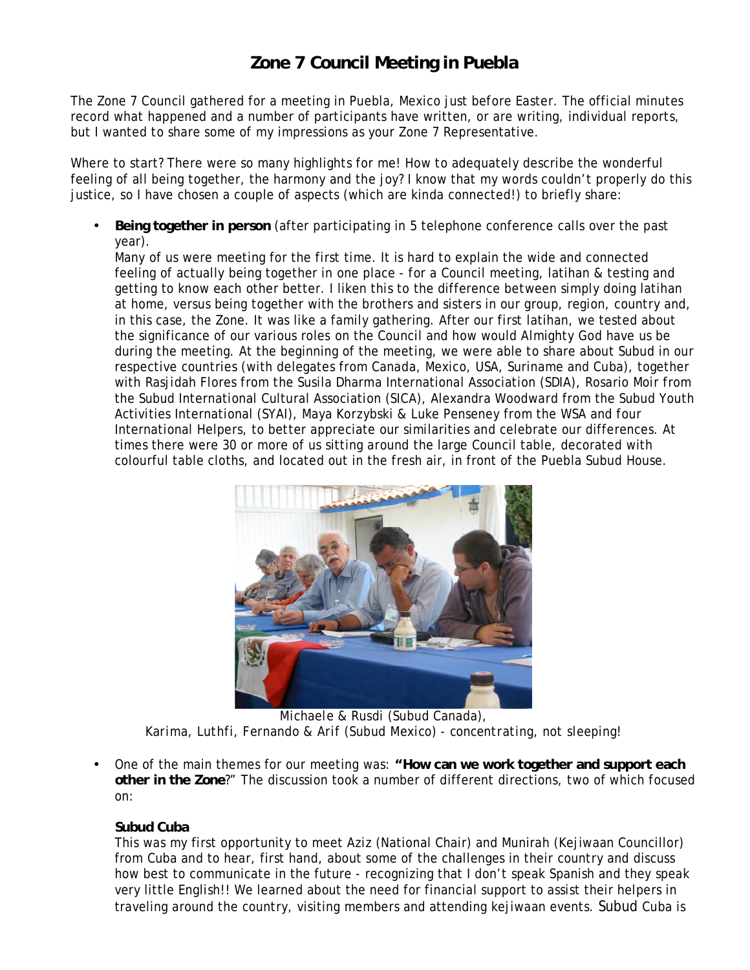## **Zone 7 Council Meeting in Puebla**

The Zone 7 Council gathered for a meeting in Puebla, Mexico just before Easter. The official minutes record what happened and a number of participants have written, or are writing, individual reports, but I wanted to share some of my impressions as your Zone 7 Representative.

Where to start? There were so many highlights for me! How to adequately describe the wonderful feeling of all being together, the harmony and the joy? I know that my words couldn't properly do this justice, so I have chosen a couple of aspects (which are kinda connected!) to briefly share:

• **Being together in person** (after participating in 5 telephone conference calls over the past year).

Many of us were meeting for the first time. It is hard to explain the wide and connected feeling of actually being together in one place - for a Council meeting, latihan & testing and getting to know each other better. I liken this to the difference between simply doing latihan at home, versus being together with the brothers and sisters in our group, region, country and, in this case, the Zone. It was like a family gathering. After our first latihan, we tested about the significance of our various roles on the Council and how would Almighty God have us be during the meeting. At the beginning of the meeting, we were able to share about Subud in our respective countries (with delegates from Canada, Mexico, USA, Suriname and Cuba), together with Rasjidah Flores from the Susila Dharma International Association (SDIA), Rosario Moir from the Subud International Cultural Association (SICA), Alexandra Woodward from the Subud Youth Activities International (SYAI), Maya Korzybski & Luke Penseney from the WSA and four International Helpers, to better appreciate our similarities and celebrate our differences. At times there were 30 or more of us sitting around the large Council table, decorated with colourful table cloths, and located out in the fresh air, in front of the Puebla Subud House.



*Michaele & Rusdi (Subud Canada), Karima, Luthfi, Fernando & Arif (Subud Mexico) - concentrating, not sleeping!*

• One of the main themes for our meeting was: **"How can we work together and support each other in the Zone**?" The discussion took a number of different directions, two of which focused on:

## **Subud Cuba**

This was my first opportunity to meet Aziz (National Chair) and Munirah (Kejiwaan Councillor) from Cuba and to hear, first hand, about some of the challenges in their country and discuss how best to communicate in the future - recognizing that I don't speak Spanish and they speak very little English!! We learned about the need for financial support to assist their helpers in traveling around the country, visiting members and attending kejiwaan events. Subud Cuba is